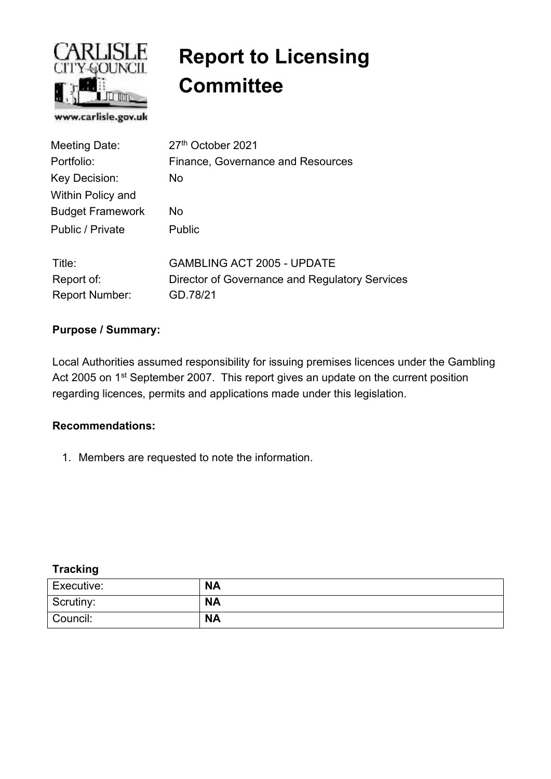

# **Report to Licensing Committee**

| Meeting Date:           | 27th October 2021                              |  |  |  |  |
|-------------------------|------------------------------------------------|--|--|--|--|
| Portfolio:              | <b>Finance, Governance and Resources</b>       |  |  |  |  |
| Key Decision:           | No.                                            |  |  |  |  |
| Within Policy and       |                                                |  |  |  |  |
| <b>Budget Framework</b> | No                                             |  |  |  |  |
| Public / Private        | <b>Public</b>                                  |  |  |  |  |
| Title:                  | <b>GAMBLING ACT 2005 - UPDATE</b>              |  |  |  |  |
| Report of:              | Director of Governance and Regulatory Services |  |  |  |  |
| <b>Report Number:</b>   | GD.78/21                                       |  |  |  |  |

#### **Purpose / Summary:**

Local Authorities assumed responsibility for issuing premises licences under the Gambling Act 2005 on 1<sup>st</sup> September 2007. This report gives an update on the current position regarding licences, permits and applications made under this legislation.

#### **Recommendations:**

1. Members are requested to note the information.

#### **Tracking**

| Executive: | <b>NA</b> |
|------------|-----------|
| Scrutiny:  | <b>NA</b> |
| Council:   | <b>NA</b> |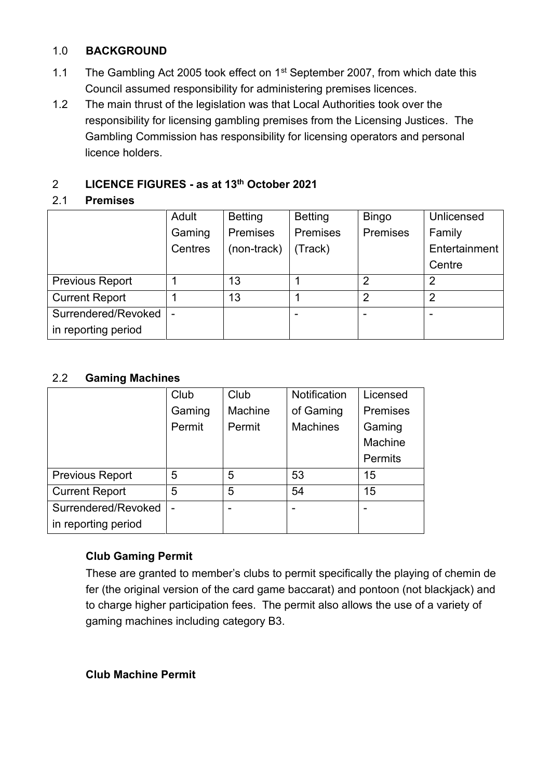#### 1.0 **BACKGROUND**

- 1.1 The Gambling Act 2005 took effect on 1<sup>st</sup> September 2007, from which date this Council assumed responsibility for administering premises licences.
- 1.2 The main thrust of the legislation was that Local Authorities took over the responsibility for licensing gambling premises from the Licensing Justices. The Gambling Commission has responsibility for licensing operators and personal licence holders.

# 2 **LICENCE FIGURES - as at 13th October 2021**

#### 2.1 **Premises**

|                        | Adult                    | <b>Betting</b> | <b>Betting</b>  | <b>Bingo</b>   | Unlicensed    |
|------------------------|--------------------------|----------------|-----------------|----------------|---------------|
|                        | Gaming                   | Premises       | <b>Premises</b> | Premises       | Family        |
|                        | Centres                  | (non-track)    | (Track)         |                | Entertainment |
|                        |                          |                |                 |                | Centre        |
| <b>Previous Report</b> |                          | 13             |                 | 2              | າ             |
| <b>Current Report</b>  |                          | 13             |                 | $\overline{2}$ | 2             |
| Surrendered/Revoked    | $\overline{\phantom{a}}$ |                |                 |                |               |
| in reporting period    |                          |                |                 |                |               |

### 2.2 **Gaming Machines**

|                        | Club   | Club    | <b>Notification</b> | Licensed        |
|------------------------|--------|---------|---------------------|-----------------|
|                        | Gaming | Machine | of Gaming           | <b>Premises</b> |
|                        | Permit | Permit  | <b>Machines</b>     | Gaming          |
|                        |        |         |                     | Machine         |
|                        |        |         |                     | <b>Permits</b>  |
| <b>Previous Report</b> | 5      | 5       | 53                  | 15              |
| <b>Current Report</b>  | 5      | 5       | 54                  | 15              |
| Surrendered/Revoked    |        |         |                     |                 |
| in reporting period    |        |         |                     |                 |

## **Club Gaming Permit**

These are granted to member's clubs to permit specifically the playing of chemin de fer (the original version of the card game baccarat) and pontoon (not blackjack) and to charge higher participation fees. The permit also allows the use of a variety of gaming machines including category B3.

**Club Machine Permit**